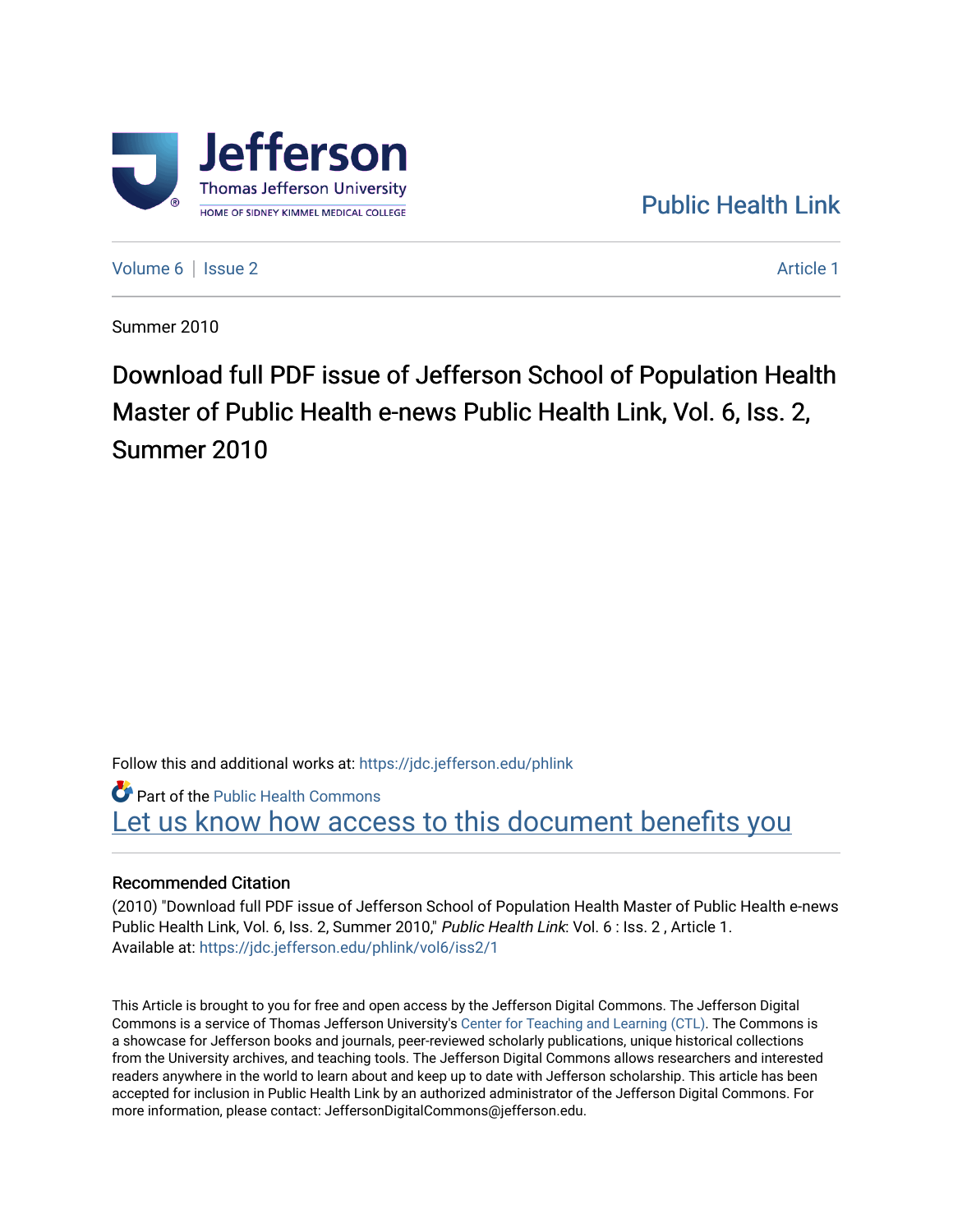

[Public Health Link](https://jdc.jefferson.edu/phlink) 

[Volume 6](https://jdc.jefferson.edu/phlink/vol6) | [Issue 2](https://jdc.jefferson.edu/phlink/vol6/iss2) Article 1

Summer 2010

Download full PDF issue of Jefferson School of Population Health Master of Public Health e-news Public Health Link, Vol. 6, Iss. 2, Summer 2010

Follow this and additional works at: [https://jdc.jefferson.edu/phlink](https://jdc.jefferson.edu/phlink?utm_source=jdc.jefferson.edu%2Fphlink%2Fvol6%2Fiss2%2F1&utm_medium=PDF&utm_campaign=PDFCoverPages)

**Part of the Public Health Commons** 

Let us know how access to this document benefits you

#### Recommended Citation

(2010) "Download full PDF issue of Jefferson School of Population Health Master of Public Health e-news Public Health Link, Vol. 6, Iss. 2, Summer 2010," Public Health Link: Vol. 6 : Iss. 2, Article 1. Available at: [https://jdc.jefferson.edu/phlink/vol6/iss2/1](https://jdc.jefferson.edu/phlink/vol6/iss2/1?utm_source=jdc.jefferson.edu%2Fphlink%2Fvol6%2Fiss2%2F1&utm_medium=PDF&utm_campaign=PDFCoverPages) 

This Article is brought to you for free and open access by the Jefferson Digital Commons. The Jefferson Digital Commons is a service of Thomas Jefferson University's [Center for Teaching and Learning \(CTL\)](http://www.jefferson.edu/university/teaching-learning.html/). The Commons is a showcase for Jefferson books and journals, peer-reviewed scholarly publications, unique historical collections from the University archives, and teaching tools. The Jefferson Digital Commons allows researchers and interested readers anywhere in the world to learn about and keep up to date with Jefferson scholarship. This article has been accepted for inclusion in Public Health Link by an authorized administrator of the Jefferson Digital Commons. For more information, please contact: JeffersonDigitalCommons@jefferson.edu.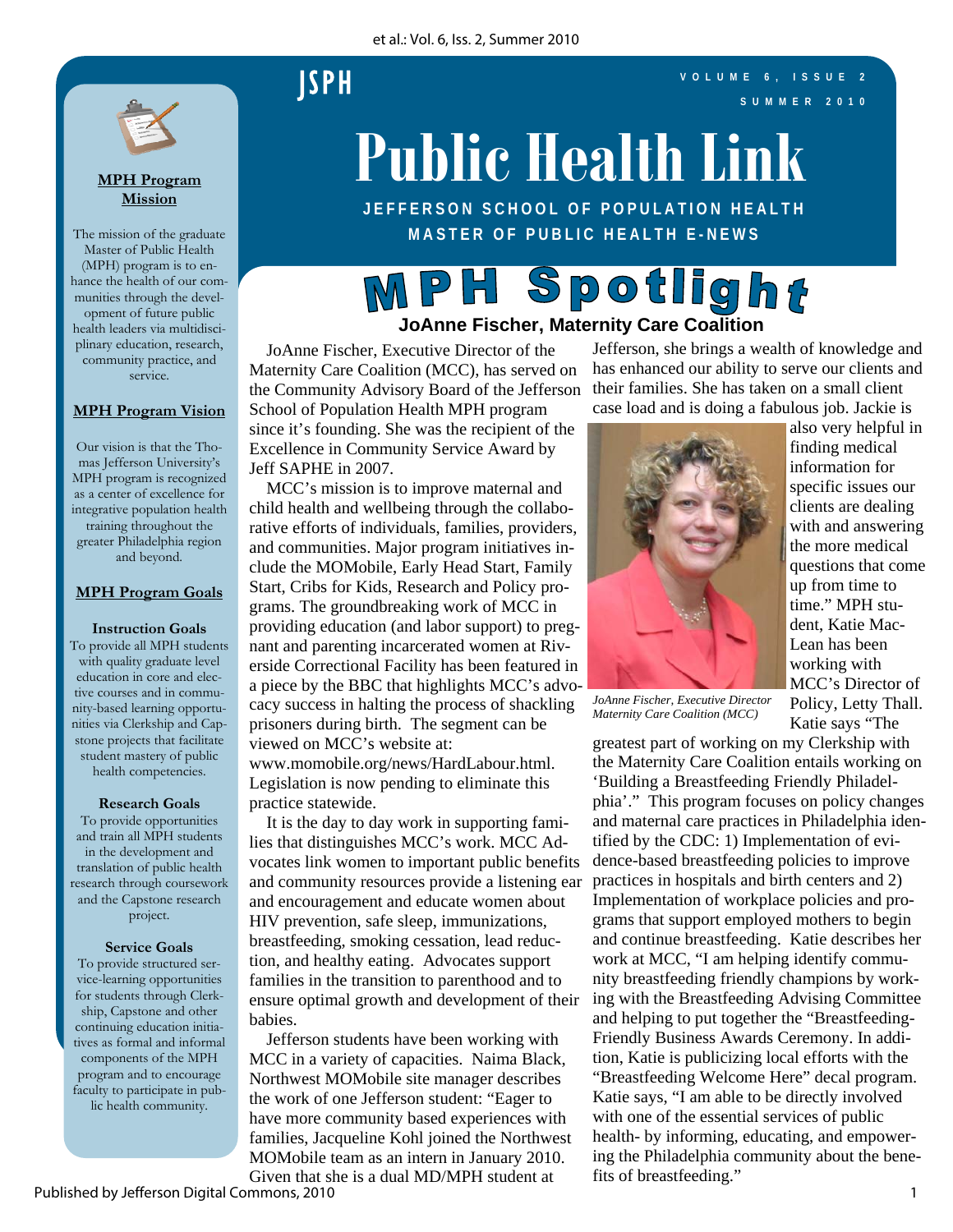JSPH

**SUMMER 2010 VOLUME 6, ISSUE 2**



#### **MPH Program Mission**

The mission of the graduate Master of Public Health (MPH) program is to enhance the health of our communities through the development of future public health leaders via multidisciplinary education, research, community practice, and service.

#### **MPH Program Vision**

Our vision is that the Thomas Jefferson University's MPH program is recognized as a center of excellence for integrative population health training throughout the greater Philadelphia region and beyond.

#### **MPH Program Goals**

## **Instruction Goals**

To provide all MPH students with quality graduate level education in core and elective courses and in community-based learning opportunities via Clerkship and Capstone projects that facilitate student mastery of public health competencies.

#### **Research Goals**

To provide opportunities and train all MPH students in the development and translation of public health research through coursework and the Capstone research project.

#### **Service Goals**

To provide structured service-learning opportunities for students through Clerkship, Capstone and other continuing education initiatives as formal and informal components of the MPH program and to encourage faculty to participate in public health community.

# **Public Health Link**

**JEFFERSON SCHOOL OF POPULATION HEALTH MASTER OF PUBLIC HEALTH E-NEWS** 

## MPH Spotlight **JoAnne Fischer, Maternity Care Coalition**

 JoAnne Fischer, Executive Director of the Maternity Care Coalition (MCC), has served on the Community Advisory Board of the Jefferson School of Population Health MPH program since it's founding. She was the recipient of the Excellence in Community Service Award by

Jeff SAPHE in 2007. MCC's mission is to improve maternal and

child health and wellbeing through the collaborative efforts of individuals, families, providers, and communities. Major program initiatives include the MOMobile, Early Head Start, Family Start, Cribs for Kids, Research and Policy programs. The groundbreaking work of MCC in providing education (and labor support) to pregnant and parenting incarcerated women at Riverside Correctional Facility has been featured in a piece by the BBC that highlights MCC's advocacy success in halting the process of shackling prisoners during birth. The segment can be viewed on MCC's website at:

www.momobile.org/news/HardLabour.html. Legislation is now pending to eliminate this practice statewide.

 It is the day to day work in supporting families that distinguishes MCC's work. MCC Advocates link women to important public benefits and community resources provide a listening ear and encouragement and educate women about HIV prevention, safe sleep, immunizations, breastfeeding, smoking cessation, lead reduction, and healthy eating. Advocates support families in the transition to parenthood and to ensure optimal growth and development of their babies.

 Jefferson students have been working with MCC in a variety of capacities. Naima Black, Northwest MOMobile site manager describes the work of one Jefferson student: "Eager to have more community based experiences with families, Jacqueline Kohl joined the Northwest MOMobile team as an intern in January 2010. Given that she is a dual MD/MPH student at

Jefferson, she brings a wealth of knowledge and has enhanced our ability to serve our clients and their families. She has taken on a small client case load and is doing a fabulous job. Jackie is



*JoAnne Fischer, Executive Director Maternity Care Coalition (MCC)* 

also very helpful in finding medical information for specific issues our clients are dealing with and answering the more medical questions that come up from time to time." MPH student, Katie Mac-Lean has been working with MCC's Director of Policy, Letty Thall. Katie says "The

greatest part of working on my Clerkship with the Maternity Care Coalition entails working on 'Building a Breastfeeding Friendly Philadelphia'." This program focuses on policy changes and maternal care practices in Philadelphia identified by the CDC: 1) Implementation of evidence-based breastfeeding policies to improve practices in hospitals and birth centers and 2) Implementation of workplace policies and programs that support employed mothers to begin and continue breastfeeding. Katie describes her work at MCC, "I am helping identify community breastfeeding friendly champions by working with the Breastfeeding Advising Committee and helping to put together the "Breastfeeding-Friendly Business Awards Ceremony. In addition, Katie is publicizing local efforts with the "Breastfeeding Welcome Here" decal program. Katie says, "I am able to be directly involved with one of the essential services of public health- by informing, educating, and empowering the Philadelphia community about the benefits of breastfeeding."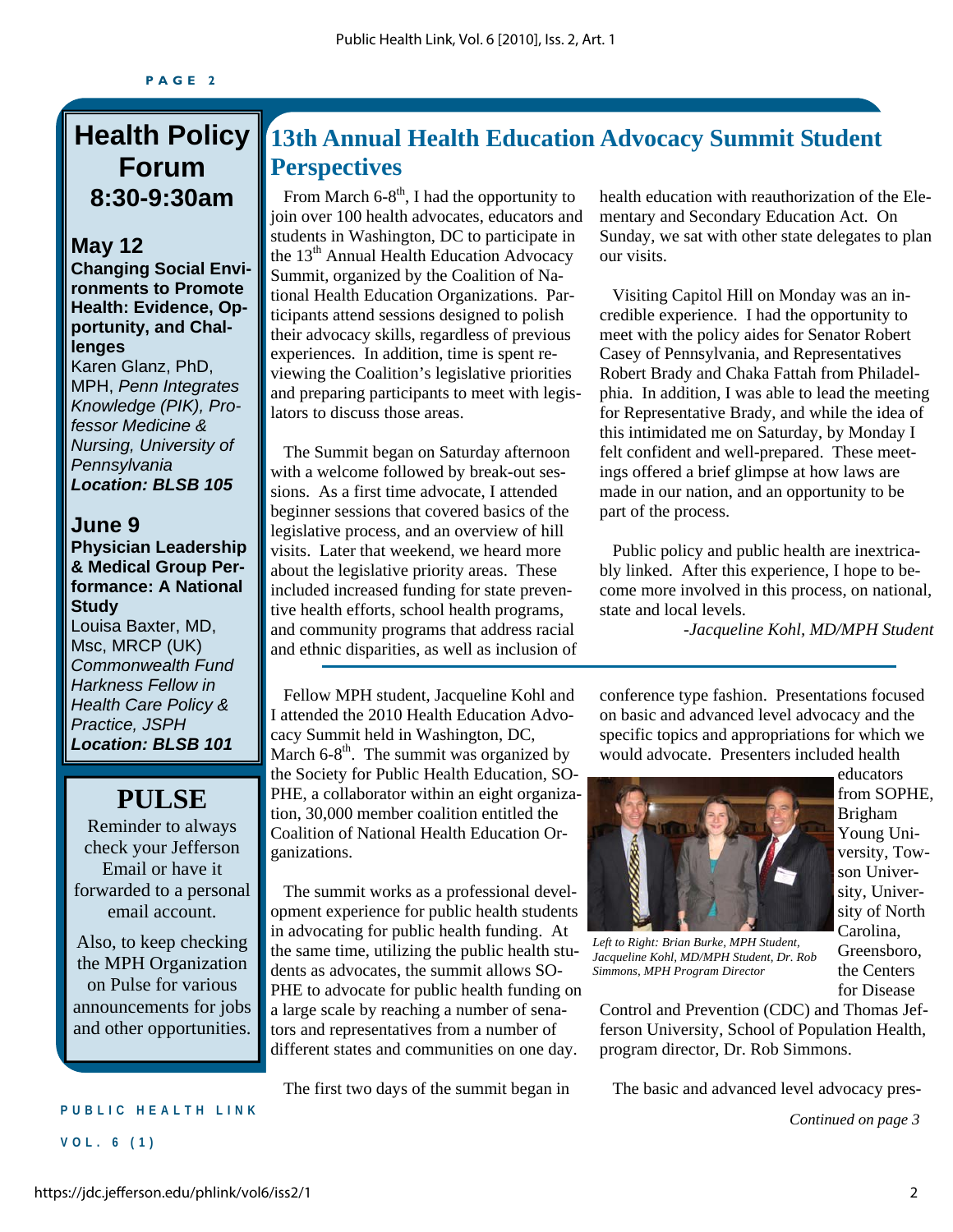## **Health Policy Forum 8:30-9:30am**

## **May 12**

#### **Changing Social Environments to Promote Health: Evidence, Opportunity, and Challenges**

Karen Glanz, PhD, MPH, *Penn Integrates Knowledge (PIK), Professor Medicine & Nursing, University of Pennsylvania Location: BLSB 105* 

## **June 9**

#### **Physician Leadership & Medical Group Performance: A National Study**

Louisa Baxter, MD, Msc, MRCP (UK) *Commonwealth Fund Harkness Fellow in Health Care Policy & Practice, JSPH Location: BLSB 101* 

## **PULSE**

Reminder to always check your Jefferson Email or have it forwarded to a personal email account.

Also, to keep checking the MPH Organization on Pulse for various announcements for jobs and other opportunities.

## **13th Annual Health Education Advocacy Summit Student Perspectives**

From March  $6-8<sup>th</sup>$ , I had the opportunity to join over 100 health advocates, educators and students in Washington, DC to participate in the  $13<sup>th</sup>$  Annual Health Education Advocacy Summit, organized by the Coalition of National Health Education Organizations. Participants attend sessions designed to polish their advocacy skills, regardless of previous experiences. In addition, time is spent reviewing the Coalition's legislative priorities and preparing participants to meet with legislators to discuss those areas.

 The Summit began on Saturday afternoon with a welcome followed by break-out sessions. As a first time advocate, I attended beginner sessions that covered basics of the legislative process, and an overview of hill visits. Later that weekend, we heard more about the legislative priority areas. These included increased funding for state preventive health efforts, school health programs, and community programs that address racial and ethnic disparities, as well as inclusion of

 Fellow MPH student, Jacqueline Kohl and I attended the 2010 Health Education Advocacy Summit held in Washington, DC, March  $6-8$ <sup>th</sup>. The summit was organized by the Society for Public Health Education, SO-PHE, a collaborator within an eight organization, 30,000 member coalition entitled the Coalition of National Health Education Organizations.

 The summit works as a professional development experience for public health students in advocating for public health funding. At the same time, utilizing the public health students as advocates, the summit allows SO-PHE to advocate for public health funding on a large scale by reaching a number of senators and representatives from a number of different states and communities on one day.

The first two days of the summit began in

health education with reauthorization of the Elementary and Secondary Education Act. On Sunday, we sat with other state delegates to plan our visits.

 Visiting Capitol Hill on Monday was an incredible experience. I had the opportunity to meet with the policy aides for Senator Robert Casey of Pennsylvania, and Representatives Robert Brady and Chaka Fattah from Philadelphia. In addition, I was able to lead the meeting for Representative Brady, and while the idea of this intimidated me on Saturday, by Monday I felt confident and well-prepared. These meetings offered a brief glimpse at how laws are made in our nation, and an opportunity to be part of the process.

 Public policy and public health are inextricably linked. After this experience, I hope to become more involved in this process, on national, state and local levels.

*-Jacqueline Kohl, MD/MPH Student* 

conference type fashion. Presentations focused on basic and advanced level advocacy and the specific topics and appropriations for which we would advocate. Presenters included health



educators from SOPHE, Brigham Young University, Towson University, University of North Carolina, Greensboro,

the Centers for Disease

*Continued on page 3* 

*Left to Right: Brian Burke, MPH Student, Jacqueline Kohl, MD/MPH Student, Dr. Rob Simmons, MPH Program Director* 

Control and Prevention (CDC) and Thomas Jefferson University, School of Population Health, program director, Dr. Rob Simmons.

The basic and advanced level advocacy pres-

**PUBLIC HEALTH LINK** 

**VOL. 6 (1)**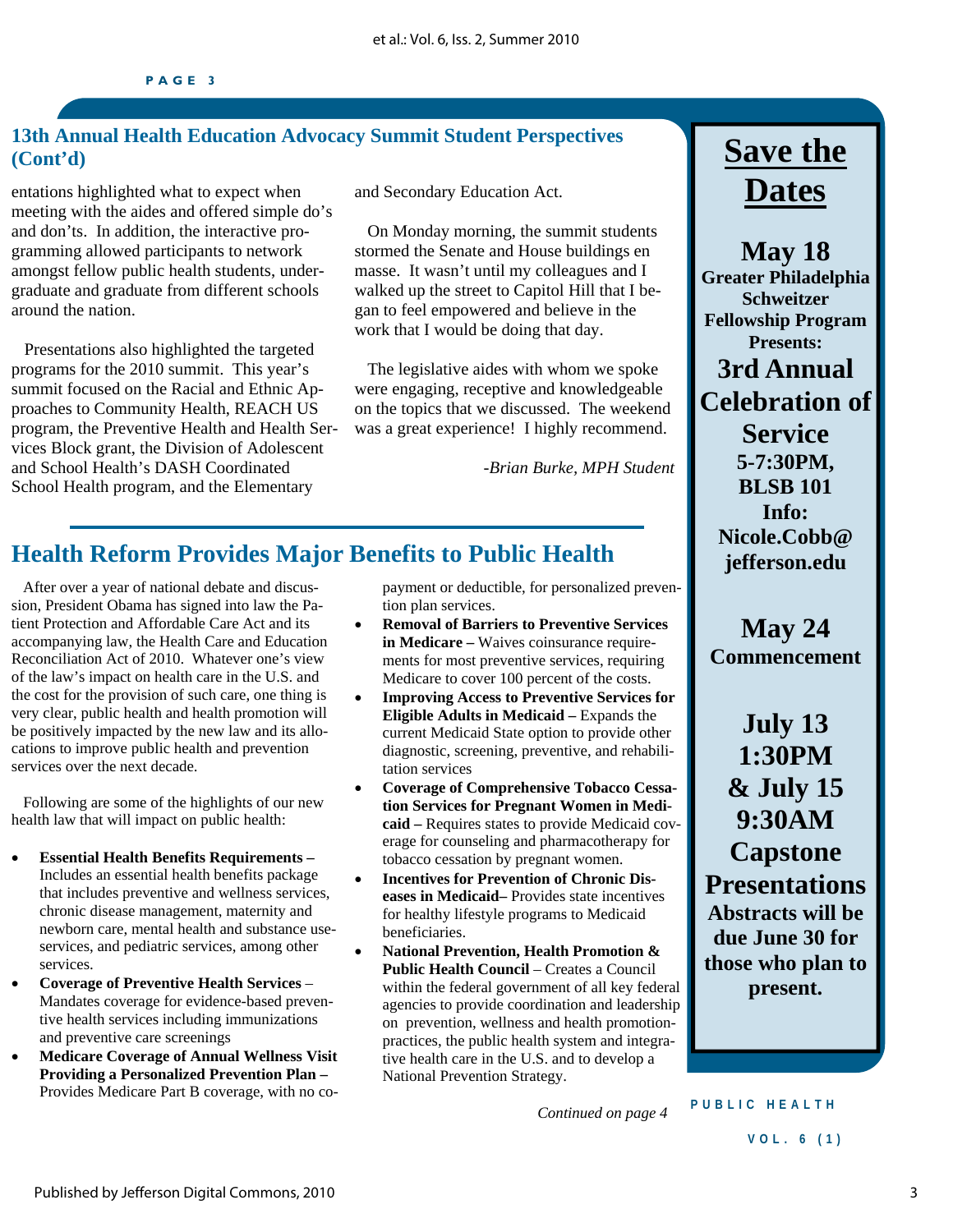### **13th Annual Health Education Advocacy Summit Student Perspectives (Cont'd)**

entations highlighted what to expect when meeting with the aides and offered simple do's and don'ts. In addition, the interactive programming allowed participants to network amongst fellow public health students, undergraduate and graduate from different schools around the nation.

 Presentations also highlighted the targeted programs for the 2010 summit. This year's summit focused on the Racial and Ethnic Approaches to Community Health, REACH US program, the Preventive Health and Health Services Block grant, the Division of Adolescent and School Health's DASH Coordinated School Health program, and the Elementary

and Secondary Education Act.

 On Monday morning, the summit students stormed the Senate and House buildings en masse. It wasn't until my colleagues and I walked up the street to Capitol Hill that I began to feel empowered and believe in the work that I would be doing that day.

 The legislative aides with whom we spoke were engaging, receptive and knowledgeable on the topics that we discussed. The weekend was a great experience! I highly recommend.

*-Brian Burke, MPH Student* 

## **Health Reform Provides Major Benefits to Public Health**

 After over a year of national debate and discussion, President Obama has signed into law the Patient Protection and Affordable Care Act and its accompanying law, the Health Care and Education Reconciliation Act of 2010. Whatever one's view of the law's impact on health care in the U.S. and the cost for the provision of such care, one thing is very clear, public health and health promotion will be positively impacted by the new law and its allocations to improve public health and prevention services over the next decade.

 Following are some of the highlights of our new health law that will impact on public health:

- **Essential Health Benefits Requirements**  Includes an essential health benefits package that includes preventive and wellness services, chronic disease management, maternity and newborn care, mental health and substance useservices, and pediatric services, among other services.
- **Coverage of Preventive Health Services** Mandates coverage for evidence-based preventive health services including immunizations and preventive care screenings
- **Medicare Coverage of Annual Wellness Visit Providing a Personalized Prevention Plan –**  Provides Medicare Part B coverage, with no co-

payment or deductible, for personalized prevention plan services.

- **Removal of Barriers to Preventive Services in Medicare –** Waives coinsurance requirements for most preventive services, requiring Medicare to cover 100 percent of the costs.
- **Improving Access to Preventive Services for Eligible Adults in Medicaid – Expands the** current Medicaid State option to provide other diagnostic, screening, preventive, and rehabilitation services
- **Coverage of Comprehensive Tobacco Cessation Services for Pregnant Women in Medicaid –** Requires states to provide Medicaid coverage for counseling and pharmacotherapy for tobacco cessation by pregnant women.
- **Incentives for Prevention of Chronic Diseases in Medicaid–** Provides state incentives for healthy lifestyle programs to Medicaid beneficiaries.
- **National Prevention, Health Promotion & Public Health Council** – Creates a Council within the federal government of all key federal agencies to provide coordination and leadership on prevention, wellness and health promotionpractices, the public health system and integrative health care in the U.S. and to develop a National Prevention Strategy.

*Continued on page 4* 

**Save the Dates**

**May 18 Greater Philadelphia Schweitzer Fellowship Program Presents: 3rd Annual Celebration of Service 5-7:30PM, BLSB 101 Info: Nicole.Cobb@ jefferson.edu** 

**May 24 Commencement** 

**July 13 1:30PM & July 15 9:30AM Capstone Presentations Abstracts will be due June 30 for those who plan to present.** 

**PUBLIC HEALTH** 

**VOL. 6 (1)**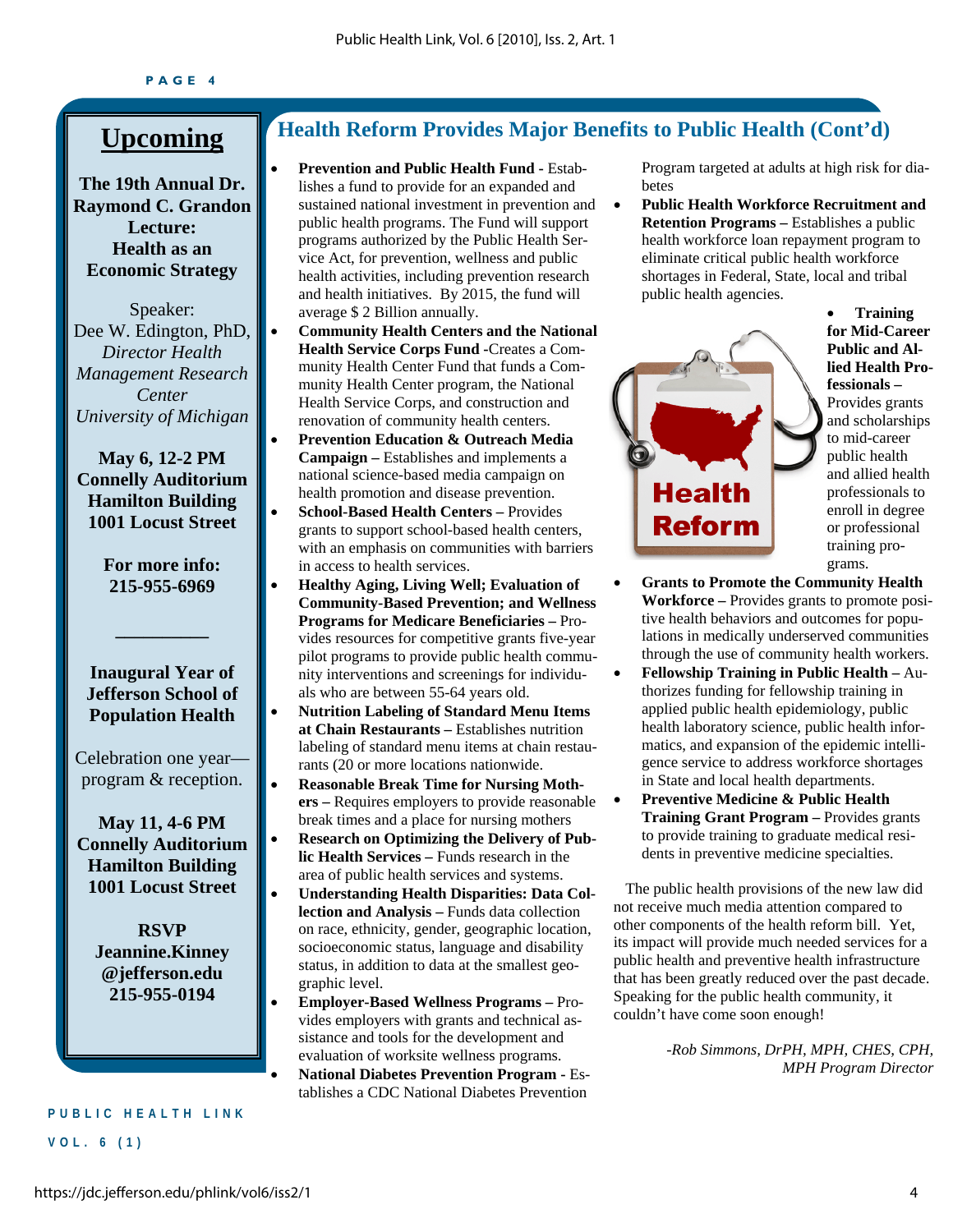#### **PAGE 4**

## **Upcoming**

**The 19th Annual Dr. Raymond C. Grandon Lecture: Health as an Economic Strategy** 

Speaker: Dee W. Edington, PhD, *Director Health Management Research Center University of Michigan* 

**May 6, 12-2 PM Connelly Auditorium Hamilton Building 1001 Locust Street** 

> **For more info: 215-955-6969**

> > **\_\_\_\_\_\_\_\_\_\_**

#### **Inaugural Year of Jefferson School of Population Health**

Celebration one year program & reception.

**May 11, 4-6 PM Connelly Auditorium Hamilton Building 1001 Locust Street** 

**RSVP Jeannine.Kinney @jefferson.edu 215-955-0194** 

#### **PUBLIC HEALTH LINK**

**VOL. 6 (1)** 

## **Health Reform Provides Major Benefits to Public Health (Cont'd)**

- **Prevention and Public Health Fund** Establishes a fund to provide for an expanded and sustained national investment in prevention and public health programs. The Fund will support programs authorized by the Public Health Service Act, for prevention, wellness and public health activities, including prevention research and health initiatives. By 2015, the fund will average \$ 2 Billion annually.
- **Community Health Centers and the National Health Service Corps Fund -**Creates a Community Health Center Fund that funds a Community Health Center program, the National Health Service Corps, and construction and renovation of community health centers.
- **Prevention Education & Outreach Media Campaign –** Establishes and implements a national science-based media campaign on health promotion and disease prevention.
- **School-Based Health Centers** Provides grants to support school-based health centers, with an emphasis on communities with barriers in access to health services.
- **Healthy Aging, Living Well; Evaluation of Community-Based Prevention; and Wellness Programs for Medicare Beneficiaries –** Provides resources for competitive grants five-year pilot programs to provide public health community interventions and screenings for individuals who are between 55-64 years old.
- **Nutrition Labeling of Standard Menu Items at Chain Restaurants –** Establishes nutrition labeling of standard menu items at chain restaurants (20 or more locations nationwide.
- **Reasonable Break Time for Nursing Mothers –** Requires employers to provide reasonable break times and a place for nursing mothers
- **Research on Optimizing the Delivery of Public Health Services –** Funds research in the area of public health services and systems.
- **Understanding Health Disparities: Data Collection and Analysis –** Funds data collection on race, ethnicity, gender, geographic location, socioeconomic status, language and disability status, in addition to data at the smallest geographic level.
- **Employer-Based Wellness Programs** Provides employers with grants and technical assistance and tools for the development and evaluation of worksite wellness programs.
	- **National Diabetes Prevention Program** Establishes a CDC National Diabetes Prevention

Program targeted at adults at high risk for diabetes

• **Public Health Workforce Recruitment and Retention Programs – Establishes a public** health workforce loan repayment program to eliminate critical public health workforce shortages in Federal, State, local and tribal public health agencies.



• **Training for Mid-Career Public and Allied Health Professionals –**  Provides grants and scholarships to mid-career public health and allied health professionals to enroll in degree or professional training programs.

- **Grants to Promote the Community Health Workforce –** Provides grants to promote positive health behaviors and outcomes for populations in medically underserved communities through the use of community health workers.
- **Fellowship Training in Public Health** Authorizes funding for fellowship training in applied public health epidemiology, public health laboratory science, public health informatics, and expansion of the epidemic intelligence service to address workforce shortages in State and local health departments.
- **Preventive Medicine & Public Health Training Grant Program –** Provides grants to provide training to graduate medical residents in preventive medicine specialties.

 The public health provisions of the new law did not receive much media attention compared to other components of the health reform bill. Yet, its impact will provide much needed services for a public health and preventive health infrastructure that has been greatly reduced over the past decade. Speaking for the public health community, it couldn't have come soon enough!

> *-Rob Simmons, DrPH, MPH, CHES, CPH, MPH Program Director*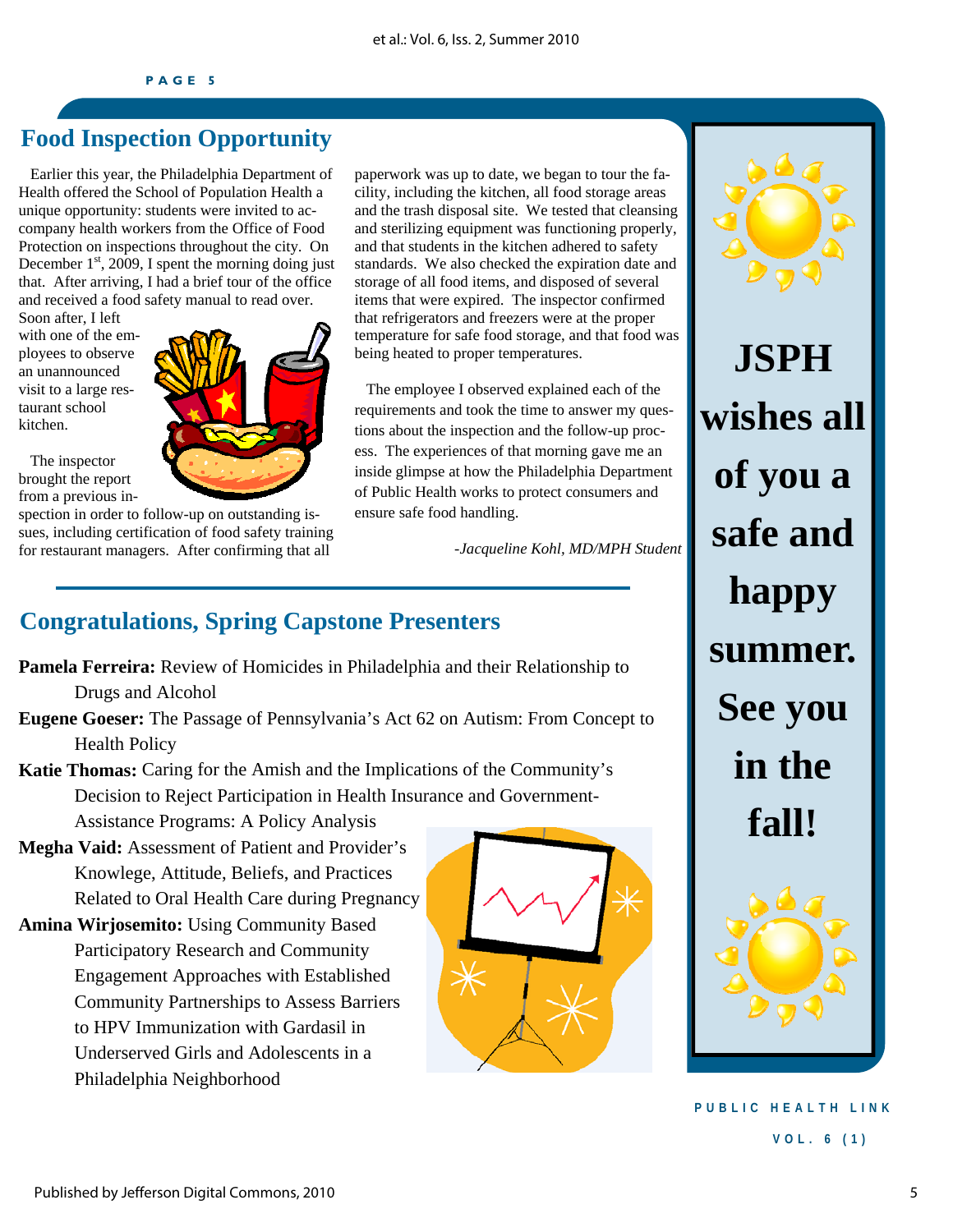## **Food Inspection Opportunity**

 Earlier this year, the Philadelphia Department of Health offered the School of Population Health a unique opportunity: students were invited to accompany health workers from the Office of Food Protection on inspections throughout the city. On December  $1<sup>st</sup>$ , 2009, I spent the morning doing just that. After arriving, I had a brief tour of the office and received a food safety manual to read over.

Soon after, I left with one of the employees to observe an unannounced visit to a large restaurant school kitchen.

 The inspector brought the report from a previous in-

spection in order to follow-up on outstanding issues, including certification of food safety training for restaurant managers. After confirming that all

paperwork was up to date, we began to tour the facility, including the kitchen, all food storage areas and the trash disposal site. We tested that cleansing and sterilizing equipment was functioning properly, and that students in the kitchen adhered to safety standards. We also checked the expiration date and storage of all food items, and disposed of several items that were expired. The inspector confirmed that refrigerators and freezers were at the proper temperature for safe food storage, and that food was being heated to proper temperatures.

 The employee I observed explained each of the requirements and took the time to answer my questions about the inspection and the follow-up process. The experiences of that morning gave me an inside glimpse at how the Philadelphia Department of Public Health works to protect consumers and ensure safe food handling.

*-Jacqueline Kohl, MD/MPH Student* 

## **Congratulations, Spring Capstone Presenters**

- **Pamela Ferreira:** Review of Homicides in Philadelphia and their Relationship to Drugs and Alcohol
- **Eugene Goeser:** The Passage of Pennsylvania's Act 62 on Autism: From Concept to Health Policy
- **Katie Thomas:** Caring for the Amish and the Implications of the Community's Decision to Reject Participation in Health Insurance and Government- Assistance Programs: A Policy Analysis
- **Megha Vaid:** Assessment of Patient and Provider's Knowlege, Attitude, Beliefs, and Practices Related to Oral Health Care during Pregnancy
- **Amina Wirjosemito:** Using Community Based Participatory Research and Community Engagement Approaches with Established Community Partnerships to Assess Barriers to HPV Immunization with Gardasil in Underserved Girls and Adolescents in a Philadelphia Neighborhood





**JSPH wishes all of you a safe and happy summer. See you in the fall!** 

**PUBLIC HEALTH LINK VOL. 6 (1)**